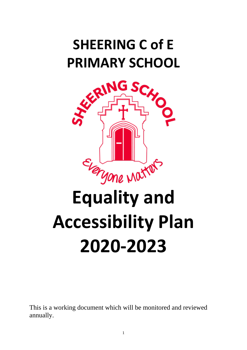# **SHEERING C of E PRIMARY SCHOOL**



# **Accessibility Plan 2020-2023**

This is a working document which will be monitored and reviewed annually.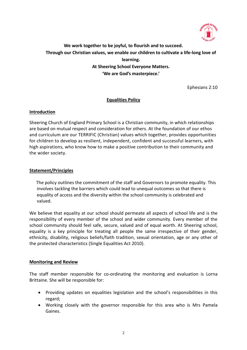

**We work together to be joyful, to flourish and to succeed. Through our Christian values, we enable our children to cultivate a life-long love of learning. At Sheering School Everyone Matters. 'We are God's masterpiece.'**

Ephesians 2:10

# **Equalities Policy**

# **Introduction**

Sheering Church of England Primary School is a Christian community, in which relationships are based on mutual respect and consideration for others. At the foundation of our ethos and curriculum are our TERRIFIC (Christian) values which together, provides opportunities for children to develop as resilient, independent, confident and successful learners, with high aspirations, who know how to make a positive contribution to their community and the wider society.

# **Statement/Principles**

 The policy outlines the commitment of the staff and Governors to promote equality. This involves tackling the barriers which could lead to unequal outcomes so that there is equality of access and the diversity within the school community is celebrated and valued.

We believe that equality at our school should permeate all aspects of school life and is the responsibility of every member of the school and wider community. Every member of the school community should feel safe, secure, valued and of equal worth. At Sheering school, equality is a key principle for treating all people the same irrespective of their gender, ethnicity, disability, religious beliefs/faith tradition, sexual orientation, age or any other of the protected characteristics (Single Equalities Act 2010).

#### **Monitoring and Review**

The staff member responsible for co-ordinating the monitoring and evaluation is Lorna Brittaine. She will be responsible for:

- Providing updates on equalities legislation and the school's responsibilities in this regard;
- Working closely with the governor responsible for this area who is Mrs Pamela Gaines.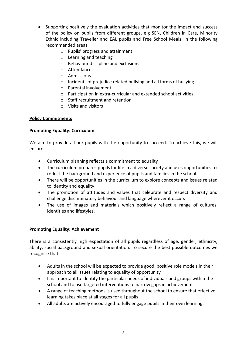- Supporting positively the evaluation activities that monitor the impact and success of the policy on pupils from different groups, e.g SEN, Children in Care, Minority Ethnic including Traveller and EAL pupils and Free School Meals, in the following recommended areas:
	- o Pupils' progress and attainment
	- o Learning and teaching
	- o Behaviour discipline and exclusions
	- o Attendance
	- o Admissions
	- o Incidents of prejudice related bullying and all forms of bullying
	- o Parental involvement
	- o Participation in extra-curricular and extended school activities
	- o Staff recruitment and retention
	- o Visits and visitors

# **Policy Commitments**

# **Promoting Equality: Curriculum**

We aim to provide all our pupils with the opportunity to succeed. To achieve this, we will ensure:

- Curriculum planning reflects a commitment to equality
- The curriculum prepares pupils for life in a diverse society and uses opportunities to reflect the background and experience of pupils and families in the school
- There will be opportunities in the curriculum to explore concepts and issues related to identity and equality
- The promotion of attitudes and values that celebrate and respect diversity and challenge discriminatory behaviour and language wherever it occurs
- The use of images and materials which positively reflect a range of cultures, identities and lifestyles.

#### **Promoting Equality: Achievement**

There is a consistently high expectation of all pupils regardless of age, gender, ethnicity, ability, social background and sexual orientation. To secure the best possible outcomes we recognise that:

- Adults in the school will be expected to provide good, positive role models in their approach to all issues relating to equality of opportunity
- It is important to identify the particular needs of individuals and groups within the school and to use targeted interventions to narrow gaps in achievement
- A range of teaching methods is used throughout the school to ensure that effective learning takes place at all stages for all pupils
- All adults are actively encouraged to fully engage pupils in their own learning.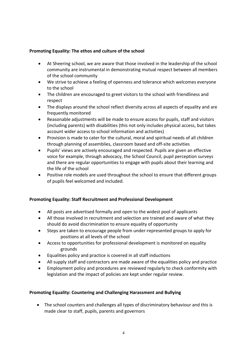# **Promoting Equality: The ethos and culture of the school**

- At Sheering school, we are aware that those involved in the leadership of the school community are instrumental in demonstrating mutual respect between all members of the school community
- We strive to achieve a feeling of openness and tolerance which welcomes everyone to the school
- The children are encouraged to greet visitors to the school with friendliness and respect
- The displays around the school reflect diversity across all aspects of equality and are frequently monitored
- Reasonable adjustments will be made to ensure access for pupils, staff and visitors (including parents) with disabilities (this not only includes physical access, but takes account wider access to school information and activities)
- Provision is made to cater for the cultural, moral and spiritual needs of all children through planning of assemblies, classroom based and off-site activities
- Pupils' views are actively encouraged and respected. Pupils are given an effective voice for example, through advocacy, the School Council, pupil perception surveys and there are regular opportunities to engage with pupils about their learning and the life of the school
- Positive role models are used throughout the school to ensure that different groups of pupils feel welcomed and included.

# **Promoting Equality: Staff Recruitment and Professional Development**

- All posts are advertised formally and open to the widest pool of applicants
- All those involved in recruitment and selection are trained and aware of what they should do avoid discrimination to ensure equality of opportunity
- Steps are taken to encourage people from under-represented groups to apply for positions at all levels of the school
- Access to opportunities for professional development is monitored on equality grounds
- Equalities policy and practice is covered in all staff inductions
- All supply staff and contractors are made aware of the equalities policy and practice
- Employment policy and procedures are reviewed regularly to check conformity with legislation and the impact of policies are kept under regular review.

# **Promoting Equality: Countering and Challenging Harassment and Bullying**

• The school counters and challenges all types of discriminatory behaviour and this is made clear to staff, pupils, parents and governors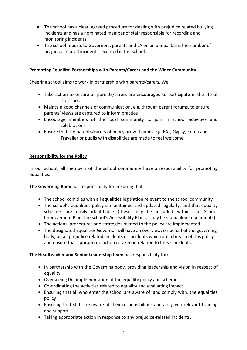- The school has a clear, agreed procedure for dealing with prejudice related bullying incidents and has a nominated member of staff responsible for recording and monitoring incidents
- The school reports to Governors, parents and LA on an annual basis the number of prejudice related incidents recorded in the school.

# **Promoting Equality: Partnerships with Parents/Carers and the Wider Community**

Sheering school aims to work in partnership with parents/carers. We:

- Take action to ensure all parents/carers are encouraged to participate in the life of the school
- Maintain good channels of communication, e.g. through parent forums, to ensure parents' views are captured to inform practice
- Encourage members of the local community to join in school activities and celebrations
- Ensure that the parents/carers of newly arrived pupils e.g. EAL, Gypsy, Roma and Traveller or pupils with disabilities are made to feel welcome.

# **Responsibility for the Policy**

In our school, all members of the school community have a responsibility for promoting equalities.

**The Governing Body** has responsibility for ensuring that:

- The school complies with all equalities legislation relevant to the school community
- The school's equalities policy is maintained and updated regularly; and that equality schemes are easily identifiable (these may be included within the School Improvement Plan, the school's Accessibility Plan or may be stand alone documents)
- The actions, procedures and strategies related to the policy are implemented
- The designated Equalities Governor will have an overview, on behalf of the governing body, on all prejudice related incidents or incidents which are a breach of this policy and ensure that appropriate action is taken in relation to these incidents.

# **The Headteacher and Senior Leadership team** has responsibility for:

- In partnership with the Governing body, providing leadership and vision in respect of equality
- Overseeing the implementation of the equality policy and schemes
- Co-ordinating the activities related to equality and evaluating impact
- Ensuring that all who enter the school are aware of, and comply with, the equalities policy
- Ensuring that staff are aware of their responsibilities and are given relevant training and support
- Taking appropriate action in response to any prejudice-related incidents.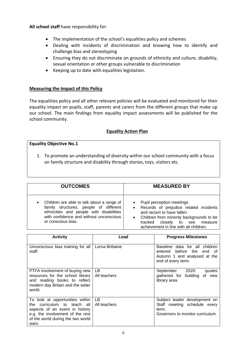**All school staff** have responsibility for:

- The implementation of the school's equalities policy and schemes
- Dealing with incidents of discrimination and knowing how to identify and challenge bias and stereotyping
- Ensuring they do not discriminate on grounds of ethnicity and culture, disability, sexual orientation or other groups vulnerable to discrimination
- Keeping up to date with equalities legislation.

# **Measuring the Impact of this Policy**

The equalities policy and all other relevant policies will be evaluated and monitored for their equality impact on pupils, staff, parents and carers from the different groups that make up our school. The main findings from equality impact assessments will be published for the school community.

# **Equality Action Plan**

# **Equality Objective No.1**

1. To promote an understanding of diversity within our school community with a focus on family structure and disability through stories, toys, visitors etc.

| <b>OUTCOMES</b>                                                                                                                                                                                   | <b>MEASURED BY</b>                                                                                                                                                                                                                                 |
|---------------------------------------------------------------------------------------------------------------------------------------------------------------------------------------------------|----------------------------------------------------------------------------------------------------------------------------------------------------------------------------------------------------------------------------------------------------|
| Children are able to talk about a range of<br>family structures, people of different<br>ethnicities and people with disabilities<br>with confidence and without unconscious<br>or conscious bias. | Pupil perception meetings<br>$\bullet$<br>• Records of prejudice related incidents<br>and racism to have fallen<br>• Children from minority backgrounds to be<br>closely<br>tracked<br>to see<br>measure<br>achievement in line with all children. |

| <b>Activity</b>                                                                                                                                                                       | Lead               | <b>Progress Milestones</b>                                                                                             |
|---------------------------------------------------------------------------------------------------------------------------------------------------------------------------------------|--------------------|------------------------------------------------------------------------------------------------------------------------|
|                                                                                                                                                                                       |                    |                                                                                                                        |
| Unconscious bias training for all<br>staff.                                                                                                                                           | Lorna Brittaine    | Baseline data for all children<br>entered before the end<br>n of<br>Autumn 1 and analysed at the<br>end of every term. |
| PTFA involvement of buying new<br>resources for the school library<br>and reading books to reflect<br>modern day Britain and the wider<br>world.                                      | LВ<br>All teachers | September 2020:<br>quotes<br>gathered for building<br>of new<br>library area                                           |
| To look at opportunities within<br>curriculum to teach all<br>the<br>aspects of an event in history<br>e.g. the involvement of the rest<br>of the world during the two world<br>wars. | LB<br>All teachers | Subject leader development on<br>Staff meeting schedule every<br>term.<br>Governors to monitor curriculum.             |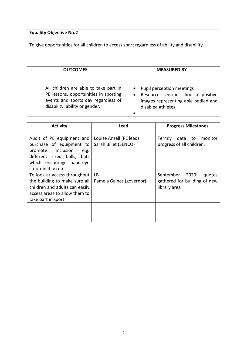# **Equality Objective No.2**

To give opportunities for all children to access sport regardless of ability and disability.

| <b>OUTCOMES</b>                                                                                                                                         | <b>MEASURED BY</b>                                                                                                                            |
|---------------------------------------------------------------------------------------------------------------------------------------------------------|-----------------------------------------------------------------------------------------------------------------------------------------------|
| All children are able to take part in<br>PE lessons, opportunities in sporting<br>events and sports day regardless of<br>disability, ability or gender. | • Pupil perception meetings<br>Resources seen in school of positive<br>$\bullet$<br>images representing able bodied and<br>disabled athletes. |

| <b>Activity</b>                                                                                                                                                       | Lead                                            | <b>Progress Milestones</b>                                                   |
|-----------------------------------------------------------------------------------------------------------------------------------------------------------------------|-------------------------------------------------|------------------------------------------------------------------------------|
| Audit of PE equipment and<br>purchase of equipment to<br>inclusion<br>promote<br>e.g.<br>different sized balls, bats<br>which encourage hand-eye<br>co-ordination etc | Louise Ansell (PE lead)<br>Sarah Billet (SENCO) | data<br><b>Termly</b><br>monitor<br>to<br>progress of all children.          |
| To look at access throughout<br>the building to make sure all<br>children and adults can easily<br>access areas to allow them to<br>take part in sport.               | LB<br>Pamela Gaines (governor)                  | September<br>2020:<br>quotes<br>gathered for building of new<br>library area |
|                                                                                                                                                                       |                                                 |                                                                              |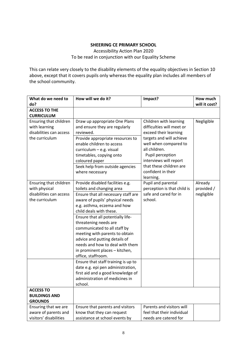# **SHEERING CE PRIMARY SCHOOL**

Accessibility Action Plan 2020 To be read in conjunction with our Equality Scheme

This can relate very closely to the disability elements of the equality objectives in Section 10 above, except that it covers pupils only whereas the equality plan includes all members of the school community.

| What do we need to      | How will we do it?                  | Impact?                     | How much      |
|-------------------------|-------------------------------------|-----------------------------|---------------|
| do?                     |                                     |                             | will it cost? |
| <b>ACCESS TO THE</b>    |                                     |                             |               |
| <b>CURRICULUM</b>       |                                     |                             |               |
| Ensuring that children  | Draw up appropriate One Plans       | Children with learning      | Negligible    |
| with learning           | and ensure they are regularly       | difficulties will meet or   |               |
| disabilities can access | reviewed.                           | exceed their learning       |               |
| the curriculum          | Provide appropriate resources to    | targets and will achieve    |               |
|                         | enable children to access           | well when compared to       |               |
|                         | curriculum - e.g. visual            | all children.               |               |
|                         | timetables, copying onto            | Pupil perception            |               |
|                         | coloured paper                      | interviews will report      |               |
|                         | Seek help from outside agencies     | that these children are     |               |
|                         | where necessary                     | confident in their          |               |
|                         |                                     | learning.                   |               |
| Ensuring that children  | Provide disabled facilities e.g.    | Pupil and parental          | Already       |
| with physical           | toilets and changing area           | perception is that child is | provided /    |
| disabilities can access | Ensure that all necessary staff are | safe and cared for in       | negligible    |
| the curriculum          | aware of pupils' physical needs     | school.                     |               |
|                         | e.g. asthma, eczema and how         |                             |               |
|                         | child deals with these.             |                             |               |
|                         | Ensure that all potentially life-   |                             |               |
|                         | threatening needs are               |                             |               |
|                         | communicated to all staff by        |                             |               |
|                         | meeting with parents to obtain      |                             |               |
|                         | advice and putting details of       |                             |               |
|                         | needs and how to deal with them     |                             |               |
|                         | in prominent places - kitchen,      |                             |               |
|                         | office, staffroom.                  |                             |               |
|                         | Ensure that staff training is up to |                             |               |
|                         | date e.g. epi pen administration,   |                             |               |
|                         | first aid and a good knowledge of   |                             |               |
|                         | administration of medicines in      |                             |               |
|                         | school.                             |                             |               |
| <b>ACCESS TO</b>        |                                     |                             |               |
| <b>BUILDINGS AND</b>    |                                     |                             |               |
| <b>GROUNDS</b>          |                                     |                             |               |
| Ensuring that we are    | Ensure that parents and visitors    | Parents and visitors will   |               |
| aware of parents and    | know that they can request          | feel that their individual  |               |
| visitors' disabilities  | assistance at school events by      | needs are catered for       |               |